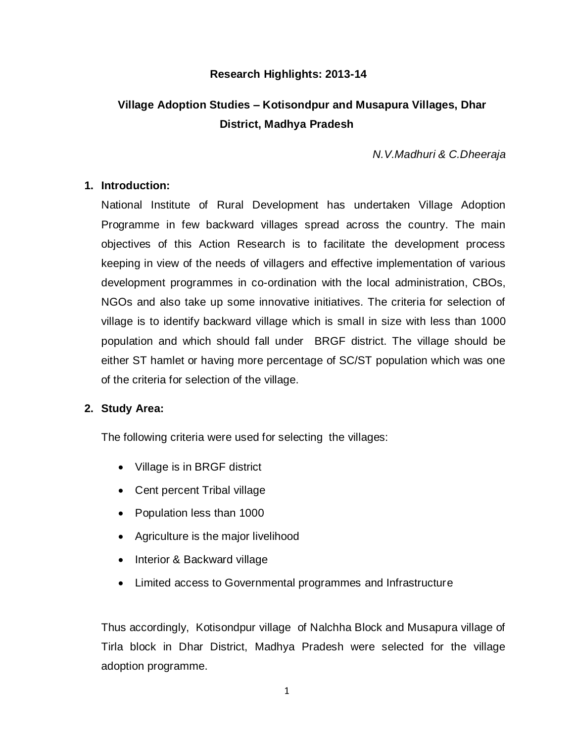#### **Research Highlights: 2013-14**

# **Village Adoption Studies – Kotisondpur and Musapura Villages, Dhar District, Madhya Pradesh**

*N.V.Madhuri & C.Dheeraja*

#### **1. Introduction:**

National Institute of Rural Development has undertaken Village Adoption Programme in few backward villages spread across the country. The main objectives of this Action Research is to facilitate the development process keeping in view of the needs of villagers and effective implementation of various development programmes in co-ordination with the local administration, CBOs, NGOs and also take up some innovative initiatives. The criteria for selection of village is to identify backward village which is small in size with less than 1000 population and which should fall under BRGF district. The village should be either ST hamlet or having more percentage of SC/ST population which was one of the criteria for selection of the village.

#### **2. Study Area:**

The following criteria were used for selecting the villages:

- Village is in BRGF district
- Cent percent Tribal village
- Population less than 1000
- Agriculture is the major livelihood
- Interior & Backward village
- Limited access to Governmental programmes and Infrastructure

Thus accordingly, Kotisondpur village of Nalchha Block and Musapura village of Tirla block in Dhar District, Madhya Pradesh were selected for the village adoption programme.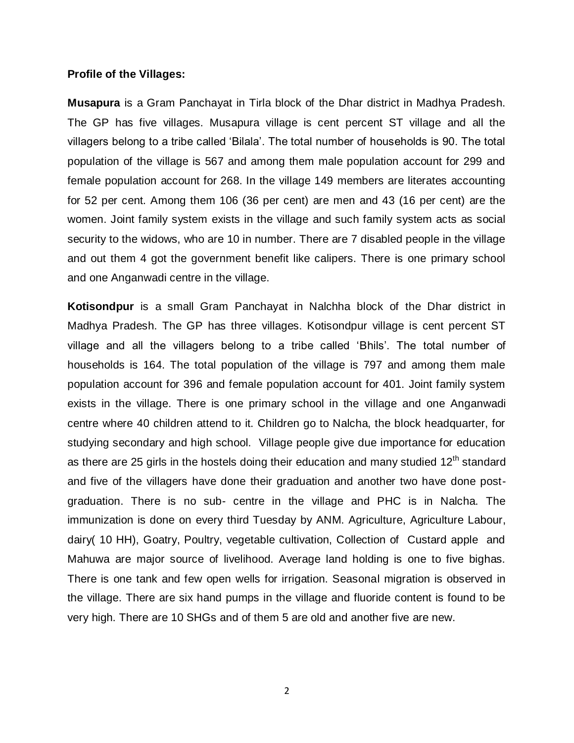#### **Profile of the Villages:**

**Musapura** is a Gram Panchayat in Tirla block of the Dhar district in Madhya Pradesh. The GP has five villages. Musapura village is cent percent ST village and all the villagers belong to a tribe called 'Bilala'. The total number of households is 90. The total population of the village is 567 and among them male population account for 299 and female population account for 268. In the village 149 members are literates accounting for 52 per cent. Among them 106 (36 per cent) are men and 43 (16 per cent) are the women. Joint family system exists in the village and such family system acts as social security to the widows, who are 10 in number. There are 7 disabled people in the village and out them 4 got the government benefit like calipers. There is one primary school and one Anganwadi centre in the village.

**Kotisondpur** is a small Gram Panchayat in Nalchha block of the Dhar district in Madhya Pradesh. The GP has three villages. Kotisondpur village is cent percent ST village and all the villagers belong to a tribe called 'Bhils'. The total number of households is 164. The total population of the village is 797 and among them male population account for 396 and female population account for 401. Joint family system exists in the village. There is one primary school in the village and one Anganwadi centre where 40 children attend to it. Children go to Nalcha, the block headquarter, for studying secondary and high school. Village people give due importance for education as there are 25 girls in the hostels doing their education and many studied 12<sup>th</sup> standard and five of the villagers have done their graduation and another two have done postgraduation. There is no sub- centre in the village and PHC is in Nalcha. The immunization is done on every third Tuesday by ANM. Agriculture, Agriculture Labour, dairy( 10 HH), Goatry, Poultry, vegetable cultivation, Collection of Custard apple and Mahuwa are major source of livelihood. Average land holding is one to five bighas. There is one tank and few open wells for irrigation. Seasonal migration is observed in the village. There are six hand pumps in the village and fluoride content is found to be very high. There are 10 SHGs and of them 5 are old and another five are new.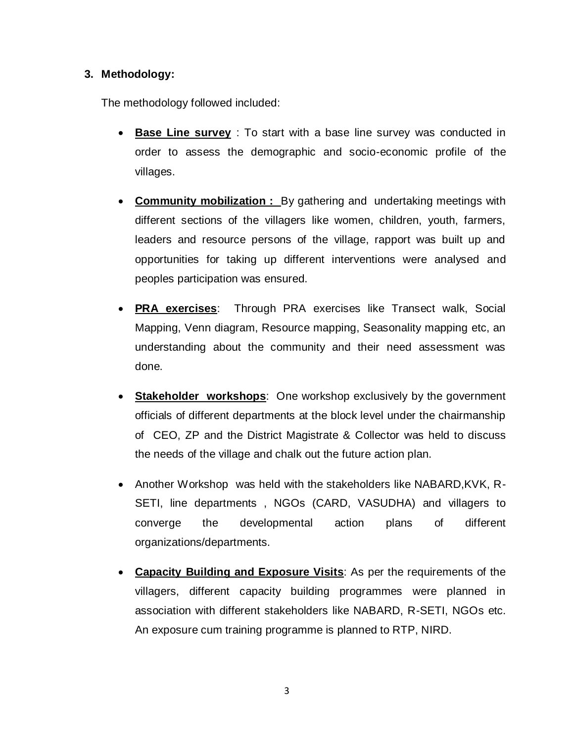### **3. Methodology:**

The methodology followed included:

- **Base Line survey** : To start with a base line survey was conducted in order to assess the demographic and socio-economic profile of the villages.
- **Community mobilization :** By gathering and undertaking meetings with different sections of the villagers like women, children, youth, farmers, leaders and resource persons of the village, rapport was built up and opportunities for taking up different interventions were analysed and peoples participation was ensured.
- **PRA exercises**: Through PRA exercises like Transect walk, Social Mapping, Venn diagram, Resource mapping, Seasonality mapping etc, an understanding about the community and their need assessment was done.
- **Stakeholder workshops:** One workshop exclusively by the government officials of different departments at the block level under the chairmanship of CEO, ZP and the District Magistrate & Collector was held to discuss the needs of the village and chalk out the future action plan.
- Another Workshop was held with the stakeholders like NABARD,KVK, R-SETI, line departments , NGOs (CARD, VASUDHA) and villagers to converge the developmental action plans of different organizations/departments.
- **Capacity Building and Exposure Visits**: As per the requirements of the villagers, different capacity building programmes were planned in association with different stakeholders like NABARD, R-SETI, NGOs etc. An exposure cum training programme is planned to RTP, NIRD.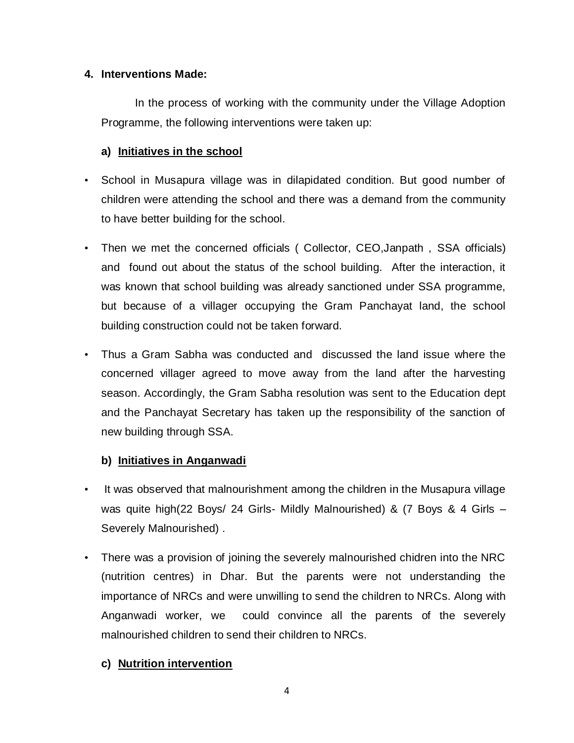#### **4. Interventions Made:**

In the process of working with the community under the Village Adoption Programme, the following interventions were taken up:

### **a) Initiatives in the school**

- School in Musapura village was in dilapidated condition. But good number of children were attending the school and there was a demand from the community to have better building for the school.
- Then we met the concerned officials ( Collector, CEO,Janpath , SSA officials) and found out about the status of the school building. After the interaction, it was known that school building was already sanctioned under SSA programme, but because of a villager occupying the Gram Panchayat land, the school building construction could not be taken forward.
- Thus a Gram Sabha was conducted and discussed the land issue where the concerned villager agreed to move away from the land after the harvesting season. Accordingly, the Gram Sabha resolution was sent to the Education dept and the Panchayat Secretary has taken up the responsibility of the sanction of new building through SSA.

### **b) Initiatives in Anganwadi**

- It was observed that malnourishment among the children in the Musapura village was quite high(22 Boys/ 24 Girls- Mildly Malnourished) & (7 Boys & 4 Girls – Severely Malnourished) .
- There was a provision of joining the severely malnourished chidren into the NRC (nutrition centres) in Dhar. But the parents were not understanding the importance of NRCs and were unwilling to send the children to NRCs. Along with Anganwadi worker, we could convince all the parents of the severely malnourished children to send their children to NRCs.

### **c) Nutrition intervention**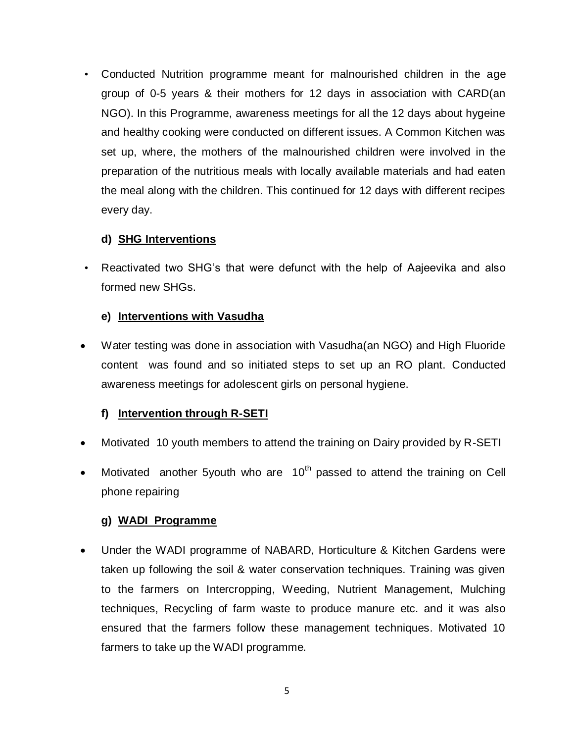• Conducted Nutrition programme meant for malnourished children in the age group of 0-5 years & their mothers for 12 days in association with CARD(an NGO). In this Programme, awareness meetings for all the 12 days about hygeine and healthy cooking were conducted on different issues. A Common Kitchen was set up, where, the mothers of the malnourished children were involved in the preparation of the nutritious meals with locally available materials and had eaten the meal along with the children. This continued for 12 days with different recipes every day.

### **d) SHG Interventions**

• Reactivated two SHG's that were defunct with the help of Aajeevika and also formed new SHGs.

### **e) Interventions with Vasudha**

 Water testing was done in association with Vasudha(an NGO) and High Fluoride content was found and so initiated steps to set up an RO plant. Conducted awareness meetings for adolescent girls on personal hygiene.

## **f) Intervention through R-SETI**

- Motivated 10 youth members to attend the training on Dairy provided by R-SETI
- Motivated another 5youth who are  $10<sup>th</sup>$  passed to attend the training on Cell phone repairing

### **g) WADI Programme**

 Under the WADI programme of NABARD, Horticulture & Kitchen Gardens were taken up following the soil & water conservation techniques. Training was given to the farmers on Intercropping, Weeding, Nutrient Management, Mulching techniques, Recycling of farm waste to produce manure etc. and it was also ensured that the farmers follow these management techniques. Motivated 10 farmers to take up the WADI programme.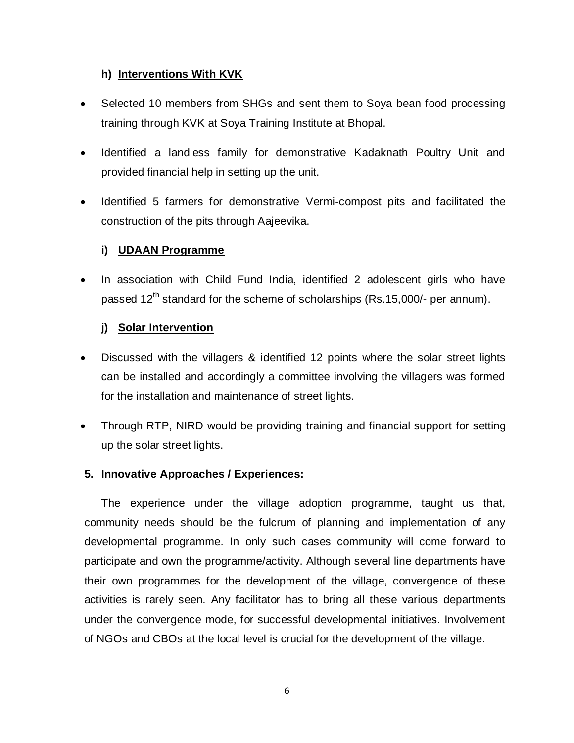### **h) Interventions With KVK**

- Selected 10 members from SHGs and sent them to Soya bean food processing training through KVK at Soya Training Institute at Bhopal.
- Identified a landless family for demonstrative Kadaknath Poultry Unit and provided financial help in setting up the unit.
- Identified 5 farmers for demonstrative Vermi-compost pits and facilitated the construction of the pits through Aajeevika.

### **i) UDAAN Programme**

 In association with Child Fund India, identified 2 adolescent girls who have passed 12<sup>th</sup> standard for the scheme of scholarships (Rs.15,000/- per annum).

### **j) Solar Intervention**

- Discussed with the villagers & identified 12 points where the solar street lights can be installed and accordingly a committee involving the villagers was formed for the installation and maintenance of street lights.
- Through RTP, NIRD would be providing training and financial support for setting up the solar street lights.

#### **5. Innovative Approaches / Experiences:**

The experience under the village adoption programme, taught us that, community needs should be the fulcrum of planning and implementation of any developmental programme. In only such cases community will come forward to participate and own the programme/activity. Although several line departments have their own programmes for the development of the village, convergence of these activities is rarely seen. Any facilitator has to bring all these various departments under the convergence mode, for successful developmental initiatives. Involvement of NGOs and CBOs at the local level is crucial for the development of the village.